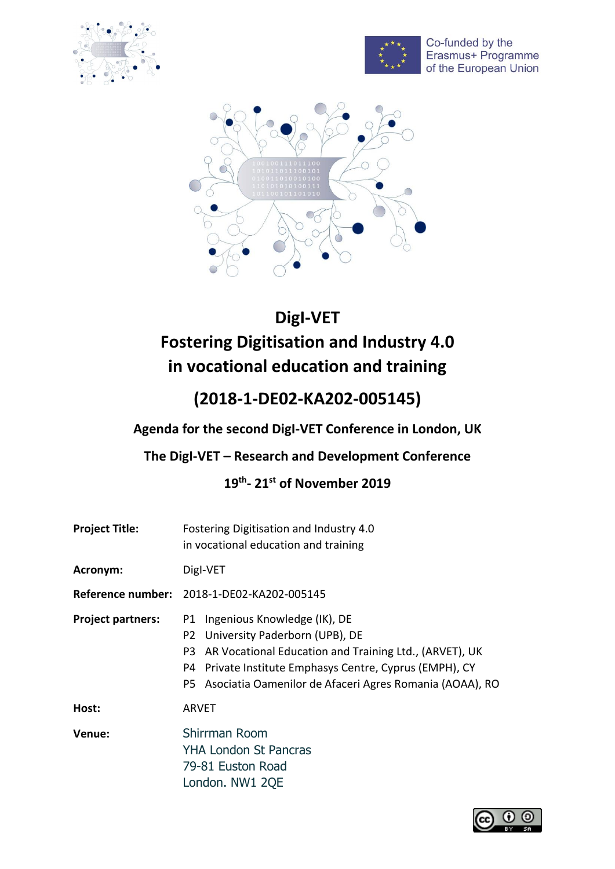



Co-funded by the<br>Erasmus+ Programme of the European Union



# **DigI-VET Fostering Digitisation and Industry 4.0 in vocational education and training**

## **(2018-1-DE02-KA202-005145)**

**Agenda for the second DigI-VET Conference in London, UK**

### **The DigI-VET – Research and Development Conference**

#### **19 th - 21 st of November 2019**

| <b>Project Title:</b>    | Fostering Digitisation and Industry 4.0<br>in vocational education and training                                                                                                                                                                                                 |  |
|--------------------------|---------------------------------------------------------------------------------------------------------------------------------------------------------------------------------------------------------------------------------------------------------------------------------|--|
| Acronym:                 | Digl-VET                                                                                                                                                                                                                                                                        |  |
|                          | Reference number: 2018-1-DE02-KA202-005145                                                                                                                                                                                                                                      |  |
| <b>Project partners:</b> | Ingenious Knowledge (IK), DE<br>P1<br>University Paderborn (UPB), DE<br>P <sub>2</sub><br>AR Vocational Education and Training Ltd., (ARVET), UK<br>P3<br>P4 Private Institute Emphasys Centre, Cyprus (EMPH), CY<br>P5 Asociatia Oamenilor de Afaceri Agres Romania (AOAA), RO |  |
| Host:                    | <b>ARVET</b>                                                                                                                                                                                                                                                                    |  |
| Venue:                   | Shirrman Room<br><b>YHA London St Pancras</b><br>79-81 Euston Road<br>London. NW1 2QE                                                                                                                                                                                           |  |

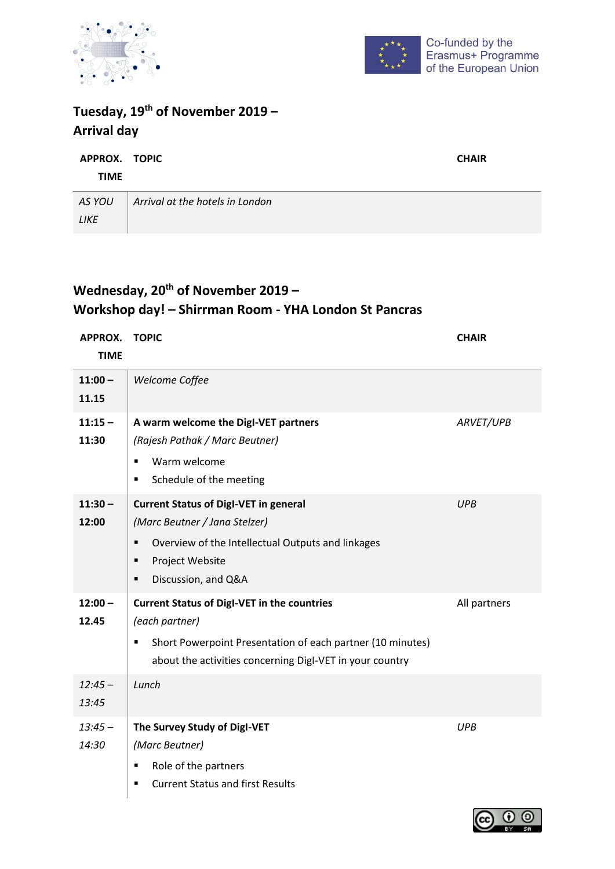



Ξ

### **Tuesday, 19th of November 2019 – Arrival day**

| APPROX. TOPIC | <b>CHAIR</b>                    |  |
|---------------|---------------------------------|--|
| TIME          |                                 |  |
| AS YOU        | Arrival at the hotels in London |  |
| <b>LIKE</b>   |                                 |  |

### **Wednesday, 20th of November 2019 – Workshop day! – Shirrman Room - YHA London St Pancras**

| APPROX.     | <b>TOPIC</b>                                                    | <b>CHAIR</b> |
|-------------|-----------------------------------------------------------------|--------------|
| <b>TIME</b> |                                                                 |              |
| $11:00 -$   | Welcome Coffee                                                  |              |
| 11.15       |                                                                 |              |
| $11:15 -$   | A warm welcome the DigI-VET partners                            | ARVET/UPB    |
| 11:30       | (Rajesh Pathak / Marc Beutner)                                  |              |
|             | Warm welcome<br>$\blacksquare$                                  |              |
|             | Schedule of the meeting<br>٠                                    |              |
| $11:30 -$   | <b>Current Status of Digl-VET in general</b>                    | <b>UPB</b>   |
| 12:00       | (Marc Beutner / Jana Stelzer)                                   |              |
|             | Overview of the Intellectual Outputs and linkages<br>٠          |              |
|             | Project Website<br>$\blacksquare$                               |              |
|             | Discussion, and Q&A<br>٠                                        |              |
| $12:00 -$   | <b>Current Status of Digl-VET in the countries</b>              | All partners |
| 12.45       | (each partner)                                                  |              |
|             | Short Powerpoint Presentation of each partner (10 minutes)<br>٠ |              |
|             | about the activities concerning Digl-VET in your country        |              |
| $12:45 -$   | Lunch                                                           |              |
| 13:45       |                                                                 |              |
| $13:45 -$   | The Survey Study of Digl-VET                                    | <b>UPB</b>   |
| 14:30       | (Marc Beutner)                                                  |              |
|             | Role of the partners                                            |              |
|             | <b>Current Status and first Results</b><br>٠                    |              |

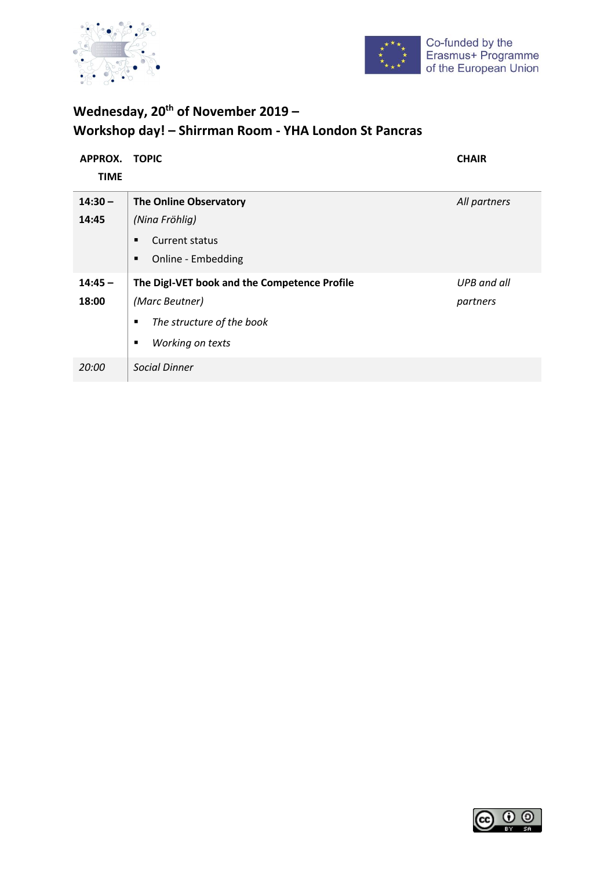



### **Wednesday, 20th of November 2019 – Workshop day! – Shirrman Room - YHA London St Pancras**

| APPROX.<br><b>TIME</b> | <b>TOPIC</b>                                                                                                              | <b>CHAIR</b>            |
|------------------------|---------------------------------------------------------------------------------------------------------------------------|-------------------------|
| $14:30 -$<br>14:45     | <b>The Online Observatory</b><br>(Nina Fröhlig)<br>Current status<br>٠<br>Online - Embedding<br>٠                         | All partners            |
| $14:45 -$<br>18:00     | The Digl-VET book and the Competence Profile<br>(Marc Beutner)<br>The structure of the book<br>п<br>Working on texts<br>п | UPB and all<br>partners |
| 20:00                  | <b>Social Dinner</b>                                                                                                      |                         |

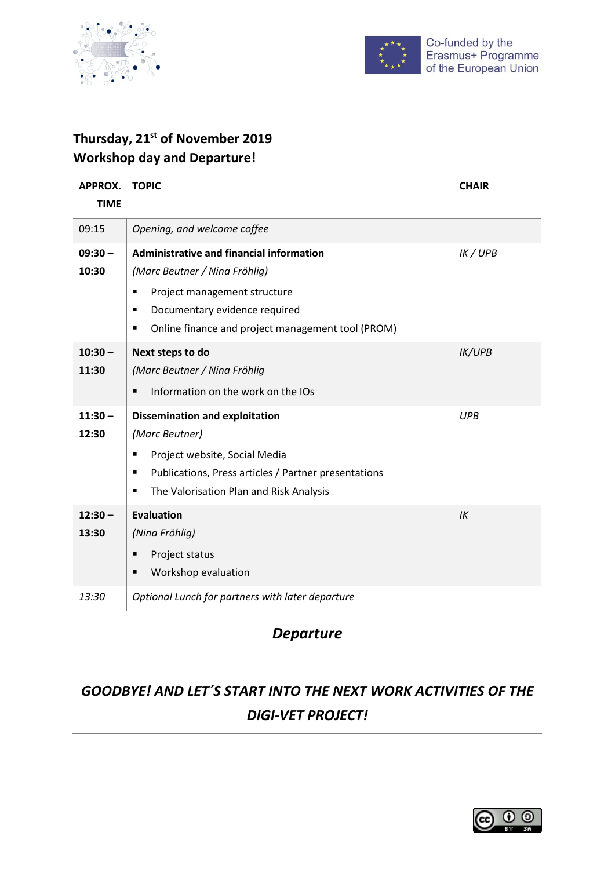



#### **Thursday, 21st of November 2019 Workshop day and Departure!**

| <b>APPROX.</b><br><b>TIME</b> | <b>TOPIC</b>                                                                                                                                                                                                                             | <b>CHAIR</b>  |
|-------------------------------|------------------------------------------------------------------------------------------------------------------------------------------------------------------------------------------------------------------------------------------|---------------|
| 09:15                         | Opening, and welcome coffee                                                                                                                                                                                                              |               |
| $09:30 -$<br>10:30            | Administrative and financial information<br>(Marc Beutner / Nina Fröhlig)<br>Project management structure<br>$\blacksquare$<br>Documentary evidence required<br>٠<br>Online finance and project management tool (PROM)<br>$\blacksquare$ | IK / UPB      |
| $10:30 -$<br>11:30            | Next steps to do<br>(Marc Beutner / Nina Fröhlig<br>Information on the work on the IOs<br>$\blacksquare$                                                                                                                                 | <b>IK/UPB</b> |
| $11:30 -$<br>12:30            | <b>Dissemination and exploitation</b><br>(Marc Beutner)<br>Project website, Social Media<br>٠<br>Publications, Press articles / Partner presentations<br>٠<br>The Valorisation Plan and Risk Analysis<br>٠                               | <b>UPB</b>    |
| $12:30 -$<br>13:30            | <b>Evaluation</b><br>(Nina Fröhlig)<br>Project status<br>п<br>Workshop evaluation<br>$\blacksquare$                                                                                                                                      | IK            |
| 13:30                         | Optional Lunch for partners with later departure                                                                                                                                                                                         |               |

### *Departure*

## *GOODBYE! AND LET´S START INTO THE NEXT WORK ACTIVITIES OF THE DIGI-VET PROJECT!*